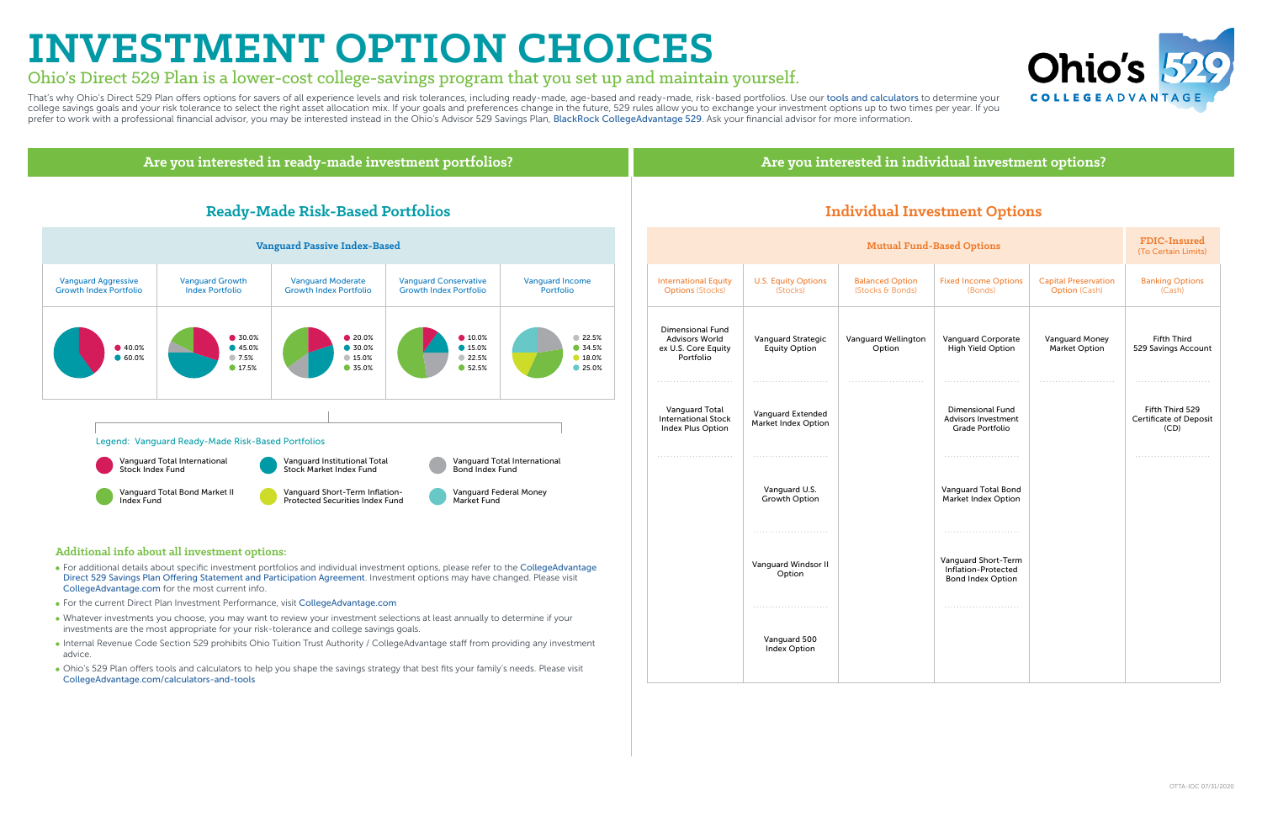## **INVESTMENT OPTION CHOICES**

### Ohio's Direct 529 Plan is a lower-cost college-savings program that you set up and maintain yourself.

That's why Ohio's Direct 529 Plan offers options for savers of all experience levels and risk tolerances, including ready-made, age-based and ready-made, risk-based portfolios. Use our [tools and calculators](https://www.collegeadvantage.com/calculators-and-tools) to determine yo college savings goals and your risk tolerance to select the right asset allocation mix. If your goals and preferences change in the future, 529 rules allow you to exchange your investment options up to two times per year. prefer to work with a professional financial advisor, you may be interested instead in the Ohio's Advisor 529 Savings Plan, [BlackRock CollegeAdvantage 529](https://www.blackrock.com/us/individual/products/529-college-savings-plans/collegeadvantage-529-plan). Ask your financial advisor for more information.

| l-Based Options |                                                                        |                                                     | <b>FDIC-Insured</b><br>(To Certain Limits)        |
|-----------------|------------------------------------------------------------------------|-----------------------------------------------------|---------------------------------------------------|
|                 | <b>Fixed Income Options</b><br>(Bonds)                                 | <b>Capital Preservation</b><br><b>Option (Cash)</b> | <b>Banking Options</b><br>(Cash)                  |
|                 | Vanguard Corporate<br><b>High Yield Option</b>                         | <b>Vanguard Money</b><br>Market Option              | <b>Fifth Third</b><br>529 Savings Account         |
|                 | Dimensional Fund<br><b>Advisors Investment</b><br>Grade Portfolio      |                                                     | Fifth Third 529<br>Certificate of Deposit<br>(CD) |
|                 |                                                                        |                                                     | .                                                 |
|                 | <b>Vanguard Total Bond</b><br>Market Index Option                      |                                                     |                                                   |
|                 |                                                                        |                                                     |                                                   |
|                 | Vanquard Short-Term<br>Inflation-Protected<br><b>Bond Index Option</b> |                                                     |                                                   |
|                 |                                                                        |                                                     |                                                   |
|                 |                                                                        |                                                     |                                                   |

### **Are you interested in ready-made investment portfolios? Are you interested in individual investment options? Individual Investment Options**  International Equity Options (Stocks) **Mutual Fund** U.S. Equity Options (Stocks) Balanced Option (Stocks & Bonds) Fixed Income Options (Bonds) Option (Cash) Dimensional Fund Advisors World ex U.S. Core Equity Portfolio Vanguard Strategic Equity Option Vanguard Corporate High Yield Option Vanguard Wellington Option Market Option Vanguard Total International Stock Index Plus Option Vanguard Extended Market Index Option Dimensional Fund Advisors Investment Grade Portfolio Vanguard U.S. Growth Option Vanguard Total Bond Market Index Option Vanguard Windsor II Option Vanguard Short-Term Inflation-Protected Bond Index Option Vanguard 500 Index Option **Ready-Made Risk-Based Portfolios** Vanguard Moderate Growth Index Portfolio Vanguard Growth Index Portfolio Vanguard Aggressive Growth Index Portfolio Vanguard Conservative Growth Index Portfolio Vanguard Income Portfolio **Vanguard Passive Index-Based** ● 40.0% ● 60.0% 22.5% ● 34.5% ● 18.0% <sup>25.0%</sup>  $• 10.0%$ **15.0%** <sup>22.5%</sup> ● 52.5% ● 20.0% **30.0%** 15.0% **35.0%** ● 30.0% **45.0%** 7.5% ● 17.5%  **Additional info about all investment options:** For additional details about specific investment portfolios and individual investment options, please refer to the [CollegeAdvantage](https://www.collegeadvantage.com/docs/default-source/enrollment-forms/offering-statement-and-participation-agreement-with-01-01-20supp.pdf?sfvrsn=a4d95003_4)  [Direct 529 Savings Plan Offering Statement and Participation Agreement](https://www.collegeadvantage.com/docs/default-source/enrollment-forms/offering-statement-and-participation-agreement-with-01-01-20supp.pdf?sfvrsn=a4d95003_4). Investment options may have changed. Please visit [CollegeAdvantage.com](https://www.collegeadvantage.com/) for the most current info. For the current Direct Plan Investment Performance, visit [CollegeAdvantage.com](https://www.collegeadvantage.com/) Whatever investments you choose, you may want to review your investment selections at least annually to determine if your investments are the most appropriate for your risk-tolerance and college savings goals. Internal Revenue Code Section 529 prohibits Ohio Tuition Trust Authority / CollegeAdvantage staff from providing any investment advice. Ohio's 529 Plan offers tools and calculators to help you shape the savings strategy that best fits your family's needs. Please visit [CollegeAdvantage.com/calculators-and-tools](https://www.collegeadvantage.com/calculators-and-tools) Legend: Vanguard Ready-Made Risk-Based Portfolios Vanguard Institutional Total Stock Market Index Fund Vanguard Total International Stock Index Fund Vanguard Total International Bond Index Fund Vanguard Short-Term Inflation-Protected Securities Index Fund Vanguard Total Bond Market II Index Fund Vanguard Federal Money Market Fund